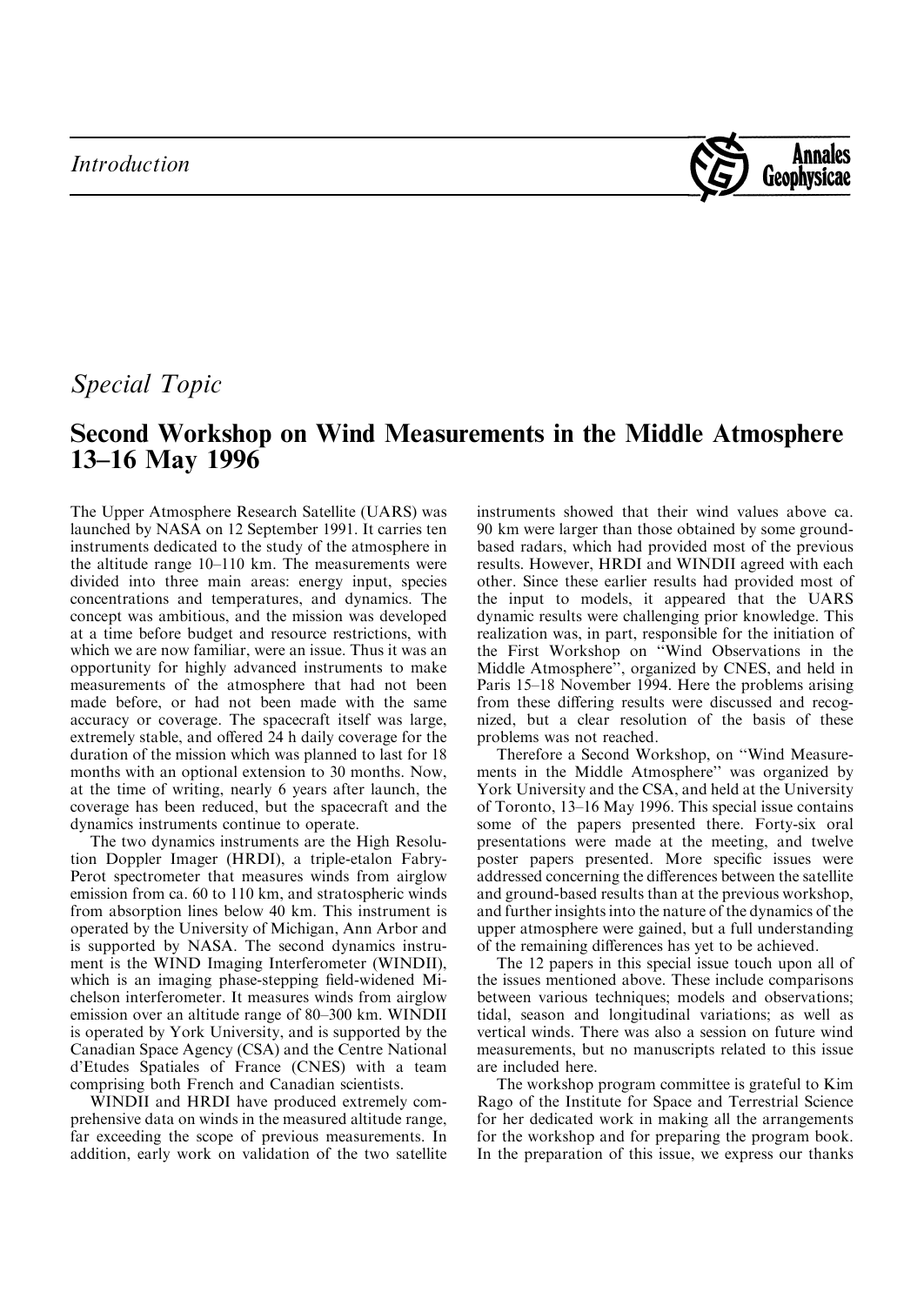

## Special Topic

## Second Workshop on Wind Measurements in the Middle Atmosphere 13–16 May 1996

The Upper Atmosphere Research Satellite (UARS) was launched by NASA on 12 September 1991. It carries ten instruments dedicated to the study of the atmosphere in the altitude range  $10-110$  km. The measurements were divided into three main areas: energy input, species concentrations and temperatures, and dynamics. The concept was ambitious, and the mission was developed at a time before budget and resource restrictions, with which we are now familiar, were an issue. Thus it was an opportunity for highly advanced instruments to make measurements of the atmosphere that had not been made before, or had not been made with the same accuracy or coverage. The spacecraft itself was large, extremely stable, and offered 24 h daily coverage for the duration of the mission which was planned to last for 18 months with an optional extension to 30 months. Now, at the time of writing, nearly 6 years after launch, the coverage has been reduced, but the spacecraft and the dynamics instruments continue to operate.

The two dynamics instruments are the High Resolution Doppler Imager (HRDI), a triple-etalon Fabry-Perot spectrometer that measures winds from airglow emission from ca. 60 to 110 km, and stratospheric winds from absorption lines below 40 km. This instrument is operated by the University of Michigan, Ann Arbor and is supported by NASA. The second dynamics instrument is the WIND Imaging Interferometer (WINDII), which is an imaging phase-stepping field-widened Michelson interferometer. It measures winds from airglow emission over an altitude range of 80-300 km. WINDII is operated by York University, and is supported by the Canadian Space Agency (CSA) and the Centre National d'Etudes Spatiales of France (CNES) with a team comprising both French and Canadian scientists.

WINDII and HRDI have produced extremely comprehensive data on winds in the measured altitude range, far exceeding the scope of previous measurements. In addition, early work on validation of the two satellite

instruments showed that their wind values above ca. 90 km were larger than those obtained by some groundbased radars, which had provided most of the previous results. However, HRDI and WINDII agreed with each other. Since these earlier results had provided most of the input to models, it appeared that the UARS dynamic results were challenging prior knowledge. This realization was, in part, responsible for the initiation of the First Workshop on "Wind Observations in the Middle Atmosphere'', organized by CNES, and held in Paris 15–18 November 1994. Here the problems arising from these differing results were discussed and recognized, but a clear resolution of the basis of these problems was not reached.

Therefore a Second Workshop, on "Wind Measurements in the Middle Atmosphere'' was organized by York University and the CSA, and held at the University of Toronto, 13–16 May 1996. This special issue contains some of the papers presented there. Forty-six oral presentations were made at the meeting, and twelve poster papers presented. More specific issues were addressed concerning the differences between the satellite and ground-based results than at the previous workshop, and further insights into the nature of the dynamics of the upper atmosphere were gained, but a full understanding of the remaining differences has yet to be achieved.

The 12 papers in this special issue touch upon all of the issues mentioned above. These include comparisons between various techniques; models and observations; tidal, season and longitudinal variations; as well as vertical winds. There was also a session on future wind measurements, but no manuscripts related to this issue are included here.

The workshop program committee is grateful to Kim Rago of the Institute for Space and Terrestrial Science for her dedicated work in making all the arrangements for the workshop and for preparing the program book. In the preparation of this issue, we express our thanks